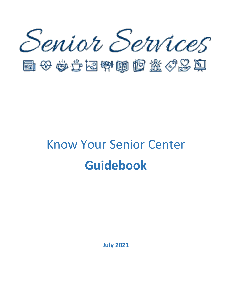

国安安全国博画区旅行政团

# Know Your Senior Center **Guidebook**

**July 2021**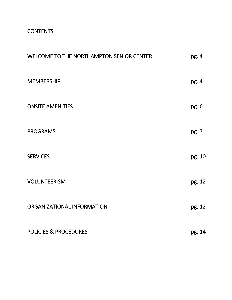# **CONTENTS**

| WELCOME TO THE NORTHAMPTON SENIOR CENTER | pg. 4  |
|------------------------------------------|--------|
| <b>MEMBERSHIP</b>                        | pg. 4  |
| <b>ONSITE AMENITIES</b>                  | pg. 6  |
| <b>PROGRAMS</b>                          | pg. 7  |
| <b>SERVICES</b>                          | pg. 10 |
| <b>VOLUNTEERISM</b>                      | pg. 12 |
| ORGANIZATIONAL INFORMATION               | pg. 12 |
| <b>POLICIES &amp; PROCEDURES</b>         | pg. 14 |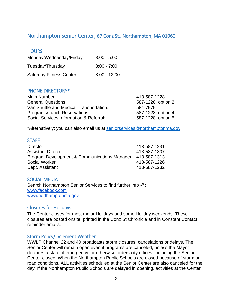# Northampton Senior Center, 67 Conz St., Northampton, MA 01060

## **HOURS**

| Monday/Wednesday/Friday        | $8:00 - 5:00$  |
|--------------------------------|----------------|
| Tuesday/Thursday               | $8:00 - 7:00$  |
| <b>Saturday Fitness Center</b> | $8:00 - 12:00$ |

#### PHONE DIRECTORY\*

| <b>Main Number</b>                      | 413-587-1228       |
|-----------------------------------------|--------------------|
| <b>General Questions:</b>               | 587-1228, option 2 |
| Van Shuttle and Medical Transportation: | 584-7979           |
| Programs/Lunch Reservations:            | 587-1228, option 4 |
| Social Services Information & Referral: | 587-1228, option 5 |

\*Alternatively: you can also email us at [seniorservices@northamptonma.gov](mailto:seniorservices@northamptonma.gov)

#### **STAFF**

| <b>Director</b>                              | 413-587-1231 |
|----------------------------------------------|--------------|
| <b>Assistant Director</b>                    | 413-587-1307 |
| Program Development & Communications Manager | 413-587-1313 |
| Social Worker                                | 413-587-1226 |
| Dept. Assistant                              | 413-587-1232 |

#### SOCIAL MEDIA

Search Northampton Senior Services to find further info @: [www.facebook.com](http://www.facebook.com/) [www.northamptonma.gov](http://www.northamptonma.gov/)

#### Closures for Holidays

The Center closes for most major Holidays and some Holiday weekends. These closures are posted onsite, printed in the Conz St Chronicle and in Constant Contact reminder emails.

#### Storm Policy/Inclement Weather

WWLP Channel 22 and 40 broadcasts storm closures, cancelations or delays. The Senior Center will remain open even if programs are canceled, unless the Mayor declares a state of emergency, or otherwise orders city offices, including the Senior Center closed. When the Northampton Public Schools are closed because of storm or road conditions, ALL activities scheduled at the Senior Center are also canceled for the day. If the Northampton Public Schools are delayed in opening, activities at the Center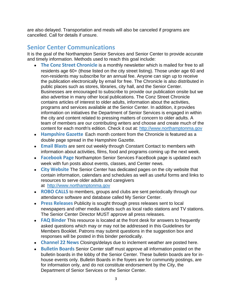are also delayed. Transportation and meals will also be canceled if programs are cancelled. Call for details if unsure.

# **Senior Center Communications**

It is the goal of the Northampton Senior Services and Senior Center to provide accurate and timely information. Methods used to reach this goal include:

- **The Conz Street Chronicle** is a monthly newsletter which is mailed for free to all residents age 60+ (those listed on the city street listing). Those under age 60 and non-residents may subscribe for an annual fee. Anyone can sign up to receive the publication electronically by email for free. The Chronicle is also distributed in public places such as stores, libraries, city hall, and the Senior Center. Businesses are encouraged to subscribe to provide our publication onsite but we also advertise in many other local publications. The Conz Street Chronicle contains articles of interest to older adults, information about the activities, programs and services available at the Senior Center. In addition, it provides information on initiatives the Department of Senior Services is engaged in within the city and content related to pressing matters of concern to older adults. A team of members are our contributing writers and choose and create much of the content for each month's edition. Check it out at: [http://www.northamptonma.gov](http://www.northamptonma.gov/)
- **Hampshire Gazette** Each month content from the Chronicle is featured as a double page spread in the Hampshire Gazette.
- **Email Blasts** are sent out weekly through Constant Contact to members with information about activities, films, food and programs coming up the next week.
- **Facebook Page** Northampton Senior Services FaceBook page is updated each week with fun posts about events, classes, and Center news.
- **City Website** The Senior Center has dedicated pages on the city website that contain information, calendars and schedules as well as useful forms and links to resources to serve older adults and caregivers at [http://www.northamptonma.gov](http://www.northamptonma.gov/)
- **ROBO CALLS** to members, groups and clubs are sent periodically through our attendance software and database called My Senior Center.
- **Press Releases** Publicity is sought through press releases sent to local newspapers and other media outlets such as local radio stations and TV stations. The Senior Center Director MUST approve all press releases.
- **FAQ Binder** This resource is located at the front desk for answers to frequently asked questions which may or may not be addressed in this Guidelines for Members Booklet. Patrons may submit questions in the suggestion box and responses will be posted in this binder periodically.
- **Channel 22 News** Closings/delays due to inclement weather are posted here.
- **Bulletin Boards** Senior Center staff must approve all information posted on the bulletin boards in the lobby of the Senior Center. These bulletin boards are for inhouse events only. Bulletin Boards in the foyers are for community postings, are for information only, and do not constitute endorsement by the City, the Department of Senior Services or the Senior Center.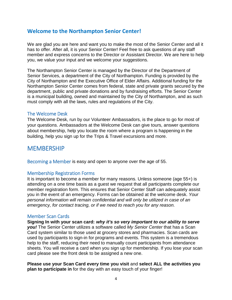# **Welcome to the Northampton Senior Center!**

We are glad you are here and want you to make the most of the Senior Center and all it has to offer. After all, it is your Senior Center! Feel free to ask questions of any staff member and express concerns to the Director or Assistant Director. We are here to help you, we value your input and we welcome your suggestions.

The Northampton Senior Center is managed by the Director of the Department of Senior Services, a department of the City of Northampton. Funding is provided by the City of Northampton and the Executive Office of Elder Affairs. Additional funding for the Northampton Senior Center comes from federal, state and private grants secured by the department, public and private donations and by fundraising efforts. The Senior Center is a municipal building, owned and maintained by the City of Northampton, and as such must comply with all the laws, rules and regulations of the City.

#### The Welcome Desk

The Welcome Desk, run by our Volunteer Ambassadors, is the place to go for most of your questions. Ambassadors at the Welcome Desk can give tours, answer questions about membership, help you locate the room where a program is happening in the building, help you sign up for the Trips & Travel excursions and more.

# MEMBERSHIP

Becoming a Member is easy and open to anyone over the age of 55.

#### Membership Registration Forms

It is important to become a member for many reasons. Unless someone (age 55+) is attending on a one time basis as a guest we request that all participants complete our member registration form. This ensures that Senior Center Staff can adequately assist you in the event of an emergency. Forms can be obtained at the welcome desk. *Your personal information will remain confidential and will only be utilized in case of an emergency, for contact tracing, or if we need to reach you for any reason.*

#### Member Scan Cards

**Signing In with your scan card:** *why it's so very important to our ability to serve you!* The Senior Center utilizes a software called *My Senior Center* that has a Scan Card system similar to those used at grocery stores and pharmacies. Scan cards are used by participants to sign-in for programs and events. This system is a tremendous help to the staff, reducing their need to manually count participants from attendance sheets. You will receive a card when you sign up for membership. If you lose your scan card please see the front desk to be assigned a new one.

**Please use your Scan Card every time you visit** and **select ALL the activities you plan to participate in** for the day with an easy touch of your finger!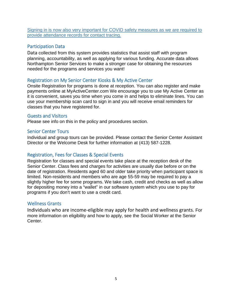Signing in is now also very important for COVID safety measures as we are required to provide attendance records for contact tracing.

# Participation Data

Data collected from this system provides statistics that assist staff with program planning, accountability, as well as applying for various funding. Accurate data allows Northampton Senior Services to make a stronger case for obtaining the resources needed for the programs and services you want!

#### Registration on My Senior Center Kiosks & My Active Center

Onsite Registration for programs is done at reception. You can also register and make payments online at MyActiveCenter.com We encourage you to use My Active Center as it is convenient, saves you time when you come in and helps to eliminate lines. You can use your membership scan card to sign in and you will receive email reminders for classes that you have registered for.

#### Guests and Visitors

Please see info on this in the policy and procedures section.

#### Senior Center Tours

Individual and group tours can be provided. Please contact the Senior Center Assistant Director or the Welcome Desk for further information at (413) 587-1228.

#### Registration, Fees for Classes & Special Events

Registration for classes and special events take place at the reception desk of the Senior Center. Class fees and charges for activities are usually due before or on the date of registration. Residents aged 60 and older take priority when participant space is limited. Non-residents and members who are age 55-59 may be required to pay a slightly higher fee for some programs. We take cash, credit and checks as well as allow for depositing money into a "wallet" in our software system which you use to pay for programs if you don't want to use a credit card.

#### Wellness Grants

Individuals who are income-eligible may apply for health and wellness grants. For more information on eligibility and how to apply, see the Social Worker at the Senior Center.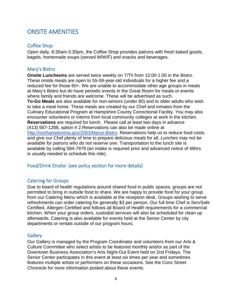# ONSITE AMENITIES

# Coffee Shop

Open daily, 8:30am-3:30pm, the Coffee Shop provides patrons with fresh baked goods, bagels, homemade soups (served M/W/F) and snacks and beverages.

## Mary's Bistro

**Onsite Luncheons** are served twice weekly on T/Th from 12:00-1:00 in the Bistro. These onsite meals are open to 55-59-year-old individuals for a higher fee and a reduced fee for those 60+. We are unable to accommodate other age groups in meals at Mary's Bistro but do have periodic events in the Great Room for meals or events where family and friends are welcome. These will be advertised as such. **To-Go Meals** are also available for non-seniors (under 60) and to older adults who wish to take a meal home. These meals are created by our Chef and inmates from the Culinary Educational Program at Hampshire County Correctional Facility. You may also encounter volunteers or interns from local community colleges at work in the kitchen. **Reservations** are required for lunch. Please call at least two days in advance (413) 587-1288, option # 2.Reservations can also be made online at [http://northamptonma.gov/2063/Marys-Bistro.](http://northamptonma.gov/2063/Marys-Bistro) Reservations help us to reduce food costs and give our Chef plenty of time to prepare delicious meals for all. *Lunches may not be available for patrons who do not reserve one*. Transportation to the lunch site is available by calling 584-7979 (an intake is required prior and advanced notice of 48hrs is usually needed to schedule this ride).

# Food/Drink Onsite- (see policy section for more details)

#### Catering for Groups

Due to board of health regulations around shared food in public spaces, groups are not permitted to bring in outside food to share. We are happy to provide food for your group from our Catering Menu which is available at the reception desk. Groups wishing to serve refreshments can order catering for generally \$3 per person. Our full time Chef is ServSafe Certified, Allergen Certified and follows all Board of Health requirements for a commercial kitchen. When your group orders, custodial services will also be scheduled for clean up afterwards. Catering is also available for events held at the Senior Center by city departments or rentals outside of our program hours.

#### **Gallery**

Our Gallery is managed by the Program Coordinator and volunteers from our Arts & Culture Committee who select artists to be featured monthly and/or as part of the Downtown Business Association's Arts Night-Out Event held on 2nd Fridays. The Senior Center participates in this event at least six times per year and sometimes features multiple artists or performers on these occasions. See the Conz Street Chronicle for more information posted about these events.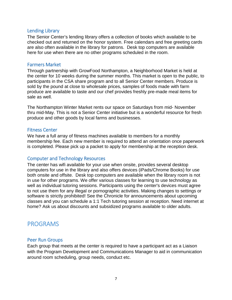#### Lending Library

The Senior Center's lending library offers a collection of books which available to be checked out and returned on the honor system. Free calendars and free greeting cards are also often available in the library for patrons. Desk top computers are available here for use when there are no other programs scheduled in the room.

#### Farmers Market

Through partnership with GrowFood Northampton, a Neighborhood Market is held at the center for 10 weeks during the summer months. This market is open to the public, to participants in the CSA share program and to all Senior Center members. Produce is sold by the pound at close to wholesale prices, samples of foods made with farm produce are available to taste and our chef provides freshly pre-made meal items for sale as well.

The Northampton Winter Market rents our space on Saturdays from mid- November thru mid-May. This is not a Senior Center initiative but is a wonderful resource for fresh produce and other goods by local farms and businesses.

#### Fitness Center

We have a full array of fitness machines available to members for a monthly membership fee. Each new member is required to attend an orientation once paperwork is completed. Please pick up a packet to apply for membership at the reception desk.

#### Computer and Technology Resources

The center has wifi available for your use when onsite, provides several desktop computers for use in the library and also offers devices (iPads/Chrome Books) for use both onsite and offsite. Desk top computers are available when the library room is not in use for other programs. We offer various classes for learning to use technology as well as individual tutoring sessions. Participants using the center's devices must agree to not use them for any illegal or pornographic activities. Making changes to settings or software is strictly prohibited! See the Chronicle for announcements about upcoming classes and you can schedule a 1:1 Tech tutoring session at reception. Need internet at home? Ask us about discounts and subsidized programs available to older adults.

# PROGRAMS

#### Peer Run Groups

Each group that meets at the center is required to have a participant act as a Liaison with the Program Development and Communications Manager to aid in communication around room scheduling, group needs, conduct etc.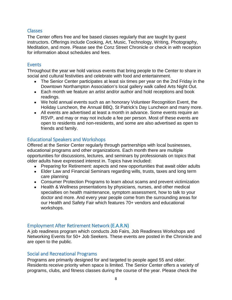#### Classes

The Center offers free and fee based classes regularly that are taught by guest instructors. Offerings include Cooking, Art, Music, Technology, Writing, Photography, Meditation, and more. Please see the Conz Street Chronicle or check in with reception for information about schedules and fees.

#### Events

Throughout the year we hold various events that bring people to the Center to share in social and cultural festivities and celebrate with food and entertainment.

- The Senior Center participates at least six times per year on the 2nd Friday in the Downtown Northampton Association's local gallery walk called Arts Night Out.
- Each month we feature an artist and/or author and hold receptions and book readings.
- We hold annual events such as an honorary Volunteer Recognition Event, the Holiday Luncheon, the Annual BBQ, St Patrick's Day Luncheon and many more.
- All events are advertised at least a month in advance. Some events require an RSVP, and may or may not include a fee per person. Most of these events are open to residents and non-residents, and some are also advertised as open to friends and family.

# Educational Speakers and Workshops

Offered at the Senior Center regularly through partnerships with local businesses, educational programs and other organizations. Each month there are multiple opportunities for discussions, lectures, and seminars by professionals on topics that older adults have expressed interest in. Topics have included:

- Preparing for Retirement: aspects and new opportunities that await older adults
- Elder Law and Financial Seminars regarding wills, trusts, taxes and long term care planning
- Consumer Protection Programs to learn about scams and prevent victimization
- Health & Wellness presentations by physicians, nurses, and other medical specialties on health maintenance, symptom assessment, how to talk to your doctor and more. And every year people come from the surrounding areas for our Health and Safety Fair which features 70+ vendors and educational workshops.

# Employment After Retirement Network (E.A.R.N)

A job readiness program which conducts Job Fairs, Job Readiness Workshops and Networking Events for 50+ Job Seekers. These events are posted in the Chronicle and are open to the public.

# Social and Recreational Programs

Programs are primarily designed for and targeted to people aged 55 and older. Residents receive priority when space is limited. The Senior Center offers a variety of programs, clubs, and fitness classes during the course of the year. Please check the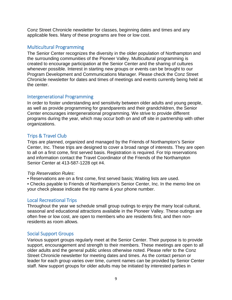Conz Street Chronicle newsletter for classes, beginning dates and times and any applicable fees. Many of these programs are free or low cost.

# Multicultural Programming

The Senior Center recognizes the diversity in the older population of Northampton and the surrounding communities of the Pioneer Valley. Multicultural programming is created to encourage participation at the Senior Center and the sharing of cultures whenever possible. Interest in starting new groups or events can be brought to our Program Development and Communications Manager. Please check the Conz Street Chronicle newsletter for dates and times of meetings and events currently being held at the center.

#### Intergenerational Programming

In order to foster understanding and sensitivity between older adults and young people, as well as provide programming for grandparents and their grandchildren, the Senior Center encourages intergenerational programming. We strive to provide different programs during the year, which may occur both on and off site in partnership with other organizations.

# Trips & Travel Club

Trips are planned, organized and managed by the Friends of Northampton's Senior Center, Inc. These trips are designed to cover a broad range of interests. They are open to all on a first come, first served basis. Registration is required. For trip reservations and information contact the Travel Coordinator of the Friends of the Northampton Senior Center at 413-587-1228 opt #4.

#### *Trip Reservation Rules*:

• Reservations are on a first come, first served basis; Waiting lists are used.

• Checks payable to Friends of Northampton's Senior Center, Inc. In the memo line on your check please indicate the trip name & your phone number.

#### Local Recreational Trips

Throughout the year we schedule small group outings to enjoy the many local cultural, seasonal and educational attractions available in the Pioneer Valley. These outings are often free or low cost, are open to members who are residents first, and then nonresidents as room allows.

#### Social Support Groups

Various support groups regularly meet at the Senior Center. Their purpose is to provide support, encouragement and strength to their members. These meetings are open to all older adults and the general public unless otherwise noted. Please refer to the Conz Street Chronicle newsletter for meeting dates and times. As the contact person or leader for each group varies over time, current names can be provided by Senior Center staff. New support groups for older adults may be initiated by interested parties in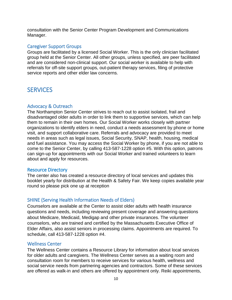consultation with the Senior Center Program Development and Communications Manager.

#### Caregiver Support Groups

Groups are facilitated by a licensed Social Worker. This is the only clinician facilitated group held at the Senior Center. All other groups, unless specified, are peer facilitated and are considered non-clinical support. Our social worker is available to help with referrals for off-site support groups, out-patient therapy services, filing of protective service reports and other elder law concerns.

# **SERVICES**

#### Advocacy & Outreach

The Northampton Senior Center strives to reach out to assist isolated, frail and disadvantaged older adults in order to link them to supportive services, which can help them to remain in their own homes. Our Social Worker works closely with partner organizations to identify elders in need, conduct a needs assessment by phone or home visit, and support collaborative care. Referrals and advocacy are provided to meet needs in areas such as legal issues, Social Security, SNAP, health, housing, medical and fuel assistance. You may access the Social Worker by phone, if you are not able to come to the Senior Center, by calling 413-587-1228 option #5. With this option, patrons can sign-up for appointments with our Social Worker and trained volunteers to learn about and apply for resources.

#### Resource Directory

The center also has created a resource directory of local services and updates this booklet yearly for distribution at the Health & Safety Fair. We keep copies available year round so please pick one up at reception

#### SHINE (Serving Health Information Needs of Elders)

Counselors are available at the Center to assist older adults with health insurance questions and needs, including reviewing present coverage and answering questions about Medicare, Medicaid, Medigap and other private insurances. The volunteer counselors, who are trained and certified by the Massachusetts Executive Office of Elder Affairs, also assist seniors in processing claims. Appointments are required. To schedule, call 413-587-1228 option #4.

#### Wellness Center

The Wellness Center contains a Resource Library for information about local services for older adults and caregivers. The Wellness Center serves as a waiting room and consultation room for members to receive services for various health, wellness and social service needs from partnering agencies and contractors. Some of these services are offered as walk-in and others are offered by appointment only. Reiki appointments,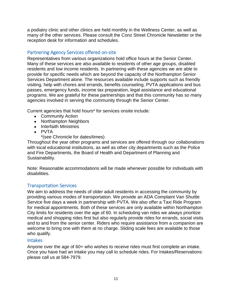a podiatry clinic and other clinics are held monthly in the Wellness Center, as well as many of the other services. Please consult the Conz Street Chronicle Newsletter or the reception desk for information and schedules.

# Partnering Agency Services offered on-site

Representatives from various organizations hold office hours at the Senior Center. Many of these services are also available to residents of other age groups, disabled residents and low income residents. In partnering with these agencies we are able to provide for specific needs which are beyond the capacity of the Northampton Senior Services Department alone. The resources available include supports such as friendly visiting, help with chores and errands, benefits counseling, PVTA applications and bus passes, emergency funds, income tax preparation, legal assistance and educational programs. We are grateful for these partnerships and that this community has so many agencies involved in serving the community through the Senior Center.

Current agencies that hold hours\* for services onsite include:

- Community Action
- Northampton Neighbors
- Interfaith Ministries
- $\bullet$  PVTA
	- \*(see Chronicle for dates/times)

Throughout the year other programs and services are offered through our collaborations with local educational institutions, as well as other city departments such as the Police and Fire Departments, the Board of Health and Department of Planning and Sustainability.

Note: Reasonable accommodations will be made whenever possible for individuals with disabilities.

# Transportation Services

We aim to address the needs of older adult residents in accessing the community by providing various modes of transportation. We provide an ADA Complaint Van Shuttle Service five days a week in partnership with PVTA. We also offer a Taxi Ride Program for medical appointments. Both of these services are only available within Northampton City limits for residents over the age of 60. In scheduling van rides we always prioritize medical and shopping rides first but also regularly provide rides for errands, social visits and to and from the senior center. Riders who require assistance from a companion are welcome to bring one with them at no charge. Sliding scale fees are available to those who qualify.

#### Intakes

Anyone over the age of 60+ who wishes to receive rides must first complete an intake. Once you have had an intake you may call to schedule rides. For Intakes/Reservations: please call us at 584-7979.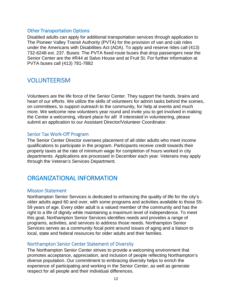#### Other Transportation Options

Disabled adults can apply for additional transportation services through application to The Pioneer Valley Transit Authority (PVTA) for the provision of van and cab rides under the Americans with Disabilities Act (ADA). To apply and reserve rides call (413) 732-6248 ext. 237. Buses: The PVTA fixed-route buses that drop passengers near the Senior Center are the #R44 at Salvo House and at Fruit St. For further information at PVTA buses call (413) 781-7882

# VOLUNTEERISM

Volunteers are the life force of the Senior Center. They support the hands, brains and heart of our efforts. We utilize the skills of volunteers for admin tasks behind the scenes, on committees, to support outreach to the community, for help at events and much more. We welcome new volunteers year round and invite you to get involved in making the Center a welcoming, vibrant place for all! If interested in volunteering, please submit an application to our Assistant Director/Volunteer Coordinator.

#### Senior Tax Work-Off Program

The Senior Center Director oversees placement of all older adults who meet income qualifications to participate in the program. Participants receive credit towards their property taxes at the rate of minimum wage for completion of hours worked in city departments. Applications are processed in December each year. Veterans may apply through the Veteran's Services Department.

# ORGANIZATIONAL INFORMATION

#### Mission Statement

Northampton Senior Services is dedicated to enhancing the quality of life for the city's older adults aged 60 and over, with some programs and activities available to those 55- 59 years of age. Every older adult is a valued member of the community and has the right to a life of dignity while maintaining a maximum level of independence. To meet this goal, Northampton Senior Services identifies needs and provides a range of programs, activities, and services to address those needs. Northampton Senior Services serves as a community focal point around issues of aging and a liaison to local, state and federal resources for older adults and their families.

#### Northampton Senior Center Statement of Diversity

The Northampton Senior Center strives to provide a welcoming environment that promotes acceptance, appreciation, and inclusion of people reflecting Northampton's diverse population. Our commitment to embracing diversity helps to enrich the experience of participating and working in the Senior Center, as well as generate respect for all people and their individual differences.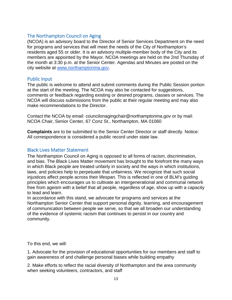# The Northampton Council on Aging

(NCOA) is an advisory board to the Director of Senior Services Department on the need for programs and services that will meet the needs of the City of Northampton's residents aged 55 or older. It is an advisory multiple-member body of the City and its members are appointed by the Mayor. NCOA meetings are held on the 2nd Thursday of the month at 3:30 p.m. at the Senior Center. Agendas and Minutes are posted on the city website at [www.northamptonma.gov.](http://www.northamptonma.gov/)

#### Public Input

The public is welcome to attend and submit comments during the Public Session portion at the start of the meeting. The NCOA may also be contacted for suggestions, comments or feedback regarding existing or desired programs, classes or services. The NCOA will discuss submissions from the public at their regular meeting and may also make recommendations to the Director.

Contact the NCOA by email: councilonagingchair@northamptonma.gov or by mail: NCOA Chair, Senior Center, 67 Conz St., Northampton, MA 01060

**Complaints** are to be submitted to the Senior Center Director or staff directly. Notice: All correspondence is considered a public record under state law.

#### Black Lives Matter Statement

The Northampton Council on Aging is opposed to all forms of racism, discrimination, and bias. The Black Lives Matter movement has brought to the forefront the many ways in which Black people are treated unfairly in society and the ways in which institutions, laws, and policies help to perpetuate that unfairness. We recognize that such social injustices affect people across their lifespan. This is reflected in one of BLM's guiding principles which encourages us to cultivate an intergenerational and communal network free from ageism with a belief that all people, regardless of age, show up with a capacity to lead and learn.

In accordance with this stand, we advocate for programs and services at the Northampton Senior Center that support personal dignity, learning, and encouragement of communication between people we serve, so that we all broaden our understanding of the evidence of systemic racism that continues to persist in our country and community.

To this end, we will:

1. Advocate for the provision of educational opportunities for our members and staff to gain awareness of and challenge personal biases while building empathy

2. Make efforts to reflect the racial diversity of Northampton and the area community when seeking volunteers, contractors, and staff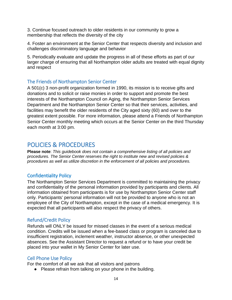3. Continue focused outreach to older residents in our community to grow a membership that reflects the diversity of the city

4. Foster an environment at the Senior Center that respects diversity and inclusion and challenges discriminatory language and behavior

5. Periodically evaluate and update the progress in all of these efforts as part of our larger charge of ensuring that all Northampton older adults are treated with equal dignity and respect

# The Friends of Northampton Senior Center

A 501(c) 3 non-profit organization formed in 1990, its mission is to receive gifts and donations and to solicit or raise monies in order to support and promote the best interests of the Northampton Council on Aging, the Northampton Senior Services Department and the Northampton Senior Center so that their services, activities, and facilities may benefit the older residents of the City aged sixty (60) and over to the greatest extent possible. For more information, please attend a Friends of Northampton Senior Center monthly meeting which occurs at the Senior Center on the third Thursday each month at 3:00 pm.

# POLICIES & PROCEDURES

**Please note**: *This guidebook does not contain a comprehensive listing of all policies and procedures. The Senior Center reserves the right to institute new and revised policies & procedures as well as utilize discretion in the enforcement of all policies and procedures.*

# Confidentiality Policy

The Northampton Senior Services Department is committed to maintaining the privacy and confidentiality of the personal information provided by participants and clients. All information obtained from participants is for use by Northampton Senior Center staff only. Participants' personal information will not be provided to anyone who is not an employee of the City of Northampton, except in the case of a medical emergency. It is expected that all participants will also respect the privacy of others.

# Refund/Credit Policy

Refunds will ONLY be issued for missed classes in the event of a serious medical condition. Credits will be issued when a fee-based class or program is canceled due to insufficient registration, inclement weather, instructor absence, or other unexpected absences. See the Assistant Director to request a refund or to have your credit be placed into your wallet in My Senior Center for later use.

# Cell Phone Use Policy

For the comfort of all we ask that all visitors and patrons

● Please refrain from talking on your phone in the building.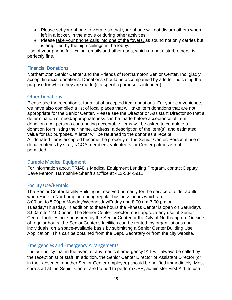- Please set your phone to vibrate so that your phone will not disturb others when left in a locker, in the movie or during other activities.
- Please take your phone calls into one of the foyers, as sound not only carries but is amplified by the high ceilings in the lobby.

Use of your phone for texting, emails and other uses, which do not disturb others, is perfectly fine.

# Financial Donations

Northampton Senior Center and the Friends of Northampton Senior Center, Inc. gladly accept financial donations. Donations should be accompanied by a letter indicating the purpose for which they are made (if a specific purpose is intended).

# Other Donations

Please see the receptionist for a list of accepted item donations. For your convenience, we have also compiled a list of local places that will take item donations that are not appropriate for the Senior Center. Please see the Director or Assistant Director so that a determination of need/appropriateness can be made before acceptance of item donations. All persons contributing acceptable items will be asked to complete a donation form listing their name, address, a description of the item(s), and estimated value for tax purposes. A letter will be returned to the donor as a receipt. All donated items accepted become the property of the Senior Center. Personal use of donated items by staff, NCOA members, volunteers, or Center patrons is not permitted.

#### Durable Medical Equipment

For information about TRIAD's Medical Equipment Lending Program, contact Deputy Dave Fenton, Hampshire Sheriff's Office at 413-584-5911.

# Facility Use/Rentals

The Senior Center facility Building is reserved primarily for the service of older adults who reside in Northampton during regular business hours which are: 8:00 am to 5:00pm Monday/Wednesday/Friday and 8:00 am-7:00 pm on Tuesday/Thursday. In addition to these hours the Fitness Center is open on Saturdays 8:00am to 12:00 noon. The Senior Center Director must approve any use of Senior Center facilities not sponsored by the Senior Center or the City of Northampton. Outside of regular hours, the Senior Center's facilities can be rented, by organizations and individuals, on a space-available basis by submitting a Senior Center Building Use Application. This can be obtained from the Dept. Secretary or from the city website.

#### Emergencies and Emergency Arrangements

It is our policy that in the event of any medical emergency 911 will always be called by the receptionist or staff. In addition, the Senior Center Director or Assistant Director (or in their absence, another Senior Center employee) should be notified immediately. Most core staff at the Senior Center are trained to perform CPR, administer First Aid, to use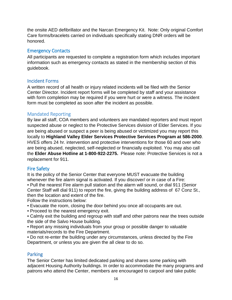the onsite AED defibrillator and the Narcan Emergency Kit. Note: Only original Comfort Care forms/bracelets carried on individuals specifically stating DNR orders will be honored.

# Emergency Contacts

All participants are requested to complete a registration form which includes important information such as emergency contacts as stated in the membership section of this guidebook.

# Incident Forms

A written record of all health or injury related incidents will be filed with the Senior Center Director. Incident report forms will be completed by staff and your assistance with form completion may be required if you were hurt or were a witness. The incident form must be completed as soon after the incident as possible.

# Mandated Reporting

By law all staff, COA members and volunteers are mandated reporters and must report suspected abuse or neglect to the Protective Services division of Elder Services. If you are being abused or suspect a peer is being abused or victimized you may report this locally to **Highland Valley Elder Services Protective Services Program at 586-2000**. HVES offers 24 hr. intervention and protective interventions for those 60 and over who are being abused, neglected, self-neglected or financially exploited. You may also call the **Elder Abuse Hotline at 1-800-922-2275.** Please note: Protective Services is not a replacement for 911.

# Fire Safety

It is the policy of the Senior Center that everyone MUST evacuate the building whenever the fire alarm signal is activated. If you discover/ or in case of a Fire:

• Pull the nearest Fire alarm pull station and the alarm will sound, or dial 911 (Senior Center Staff will dial 911) to report the fire, giving the building address of 67 Conz St., then the location and extent of the fire.

Follow the instructions below:

- Evacuate the room, closing the door behind you once all occupants are out.
- Proceed to the nearest emergency exit.
- Calmly exit the building and regroup with staff and other patrons near the trees outside the side of the Salvo House building.

• Report any missing individuals from your group or possible danger to valuable materials/records to the Fire Department.

• Do not re-enter the building under any circumstances, unless directed by the Fire Department, or unless you are given the all clear to do so.

# Parking

The Senior Center has limited dedicated parking and shares some parking with adjacent Housing Authority buildings. In order to accommodate the many programs and patrons who attend the Center, members are encouraged to carpool and take public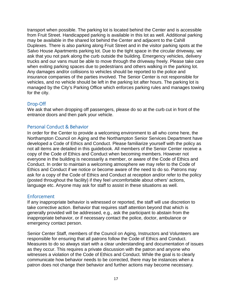transport when possible. The parking lot is located behind the Center and is accessible from Fruit Street. Handicapped parking is available in this lot as well. Additional parking may be available in the shared lot behind the Center and adjacent to the Cahill Duplexes. There is also parking along Fruit Street and in the visitor parking spots at the Salvo House Apartments parking lot. Due to the tight space in the circular driveway, we ask that you not park along the curb outside the building. Emergency vehicles, delivery trucks and our vans must be able to move through the driveway freely. Please take care when exiting parking spaces due to pedestrians and others walking in the parking lot. Any damages and/or collisions to vehicles should be reported to the police and insurance companies of the parties involved. The Senior Center is not responsible for vehicles, and no vehicle should be left in the parking lot after hours. The parking lot is managed by the City's Parking Office which enforces parking rules and manages towing for the city.

# Drop-Off

We ask that when dropping off passengers, please do so at the curb cut in front of the entrance doors and then park your vehicle.

# Personal Conduct & Behavior

In order for the Center to provide a welcoming environment to all who come here, the Northampton Council on Aging and the Northampton Senior Services Department have developed a Code of Ethics and Conduct. Please familiarize yourself with the policy as not all items are detailed in this guidebook. All members of the Senior Center receive a copy of the Code of Ethics and Conduct when becoming members. However not everyone in the building is necessarily a member, or aware of the Code of Ethics and Conduct. In order to maintain a welcoming atmosphere we may refer to the Code of Ethics and Conduct if we notice or become aware of the need to do so. Patrons may ask for a copy of the Code of Ethics and Conduct at reception and/or refer to the policy (posted throughout the facility) if they feel uncomfortable about others' actions, language etc. Anyone may ask for staff to assist in these situations as well.

#### Enforcement

If any inappropriate behavior is witnessed or reported, the staff will use discretion to take corrective action. Behavior that requires staff attention beyond that which is generally provided will be addressed, e.g., ask the participant to abstain from the inappropriate behavior, or if necessary contact the police, doctor, ambulance or emergency contact person.

Senior Center Staff, members of the Council on Aging, Instructors and Volunteers are responsible for ensuring that all patrons follow the Code of Ethics and Conduct. Measures to do so always start with a clear understanding and documentation of issues as they occur. This requires a private discussion with the patron and anyone who witnesses a violation of the Code of Ethics and Conduct. While the goal is to clearly communicate how behavior needs to be corrected, there may be instances when a patron does not change their behavior and further actions may become necessary.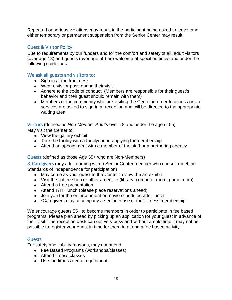Repeated or serious violations may result in the participant being asked to leave, and either temporary or permanent suspension from the Senior Center may result.

# Guest & Visitor Policy

Due to requirements by our funders and for the comfort and safety of all, adult visitors (over age 18) and guests (over age 55) are welcome at specified times and under the following guidelines:

#### We ask all guests and visitors to:

- Sign in at the front desk
- Wear a visitor pass during their visit
- Adhere to the code of conduct. (Members are responsible for their guest's behavior and their guest should remain with them)
- Members of the community who are visiting the Center in order to access onsite services are asked to sign-in at reception and will be directed to the appropriate waiting area.

Visitors (defined as *Non-Member Adults* over 18 and under the age of 55) May visit the Center to:

- View the gallery exhibit
- Tour the facility with a family/friend applying for membership
- Attend an appointment with a member of the staff or a partnering agency

#### Guests (defined as those Age 55+ who are Non-Members)

& Caregivers (any adult coming with a Senior Center member who doesn't meet the Standards of Independence for participation)

- May come as your quest to the Center to view the art exhibit
- Visit the coffee shop or other amenities(library, computer room, game room)
- Attend a free presentation
- Attend T/TH lunch (please place reservations ahead)
- Join you for the entertainment or movie scheduled after lunch
- \*Caregivers may accompany a senior in use of their fitness membership

We encourage guests 55+ to become members in order to participate in fee based programs. Please plan ahead by picking up an application for your guest in advance of their visit. The reception desk can get very busy and without ample time it may not be possible to register your guest in time for them to attend a fee based activity.

#### **Guests**

For safety and liability reasons, may not attend:

- Fee Based Programs (workshops/classes)
- Attend fitness classes
- Use the fitness center equipment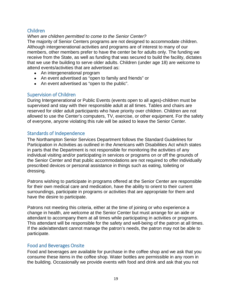# Children

#### *When are children permitted to come to the Senior Center?*

The majority of Senior Centers programs are not designed to accommodate children. Although intergenerational activities and programs are of interest to many of our members, other members prefer to have the center be for adults only. The funding we receive from the State, as well as funding that was secured to build the facility, dictates that we use the building to serve older adults. Children (under age 18) are welcome to attend events/activities that are advertised as:

- An intergenerational program
- An event advertised as "open to family and friends" or
- An event advertised as "open to the public".

#### Supervision of Children

During Intergenerational or Public Events (events open to all ages)-children must be supervised and stay with their responsible adult at all times. Tables and chairs are reserved for older adult participants who have priority over children. Children are not allowed to use the Center's computers, TV, exercise, or other equipment. For the safety of everyone, anyone violating this rule will be asked to leave the Senior Center.

# Standards of Independence

The Northampton Senior Services Department follows the Standard Guidelines for Participation in Activities as outlined in the Americans with Disabilities Act which states in parts that the Department is not responsible for monitoring the activities of any individual visiting and/or participating in services or programs on or off the grounds of the Senior Center and that public accommodations are not required to offer individually prescribed devices or personal assistance in things such as eating, toileting or dressing.

Patrons wishing to participate in programs offered at the Senior Center are responsible for their own medical care and medication, have the ability to orient to their current surroundings, participate in programs or activities that are appropriate for them and have the desire to participate.

Patrons not meeting this criteria, either at the time of joining or who experience a change in health, are welcome at the Senior Center but must arrange for an aide or attendant to accompany them at all times while participating in activities or programs. This attendant will be responsible for the safety and well-being of the patron at all times. If the aide/attendant cannot manage the patron's needs, the patron may not be able to participate.

#### Food and Beverages Onsite

Food and beverages are available for purchase in the coffee shop and we ask that you consume these items in the coffee shop. Water bottles are permissible in any room in the building. Occasionally we provide events with food and drink and ask that you not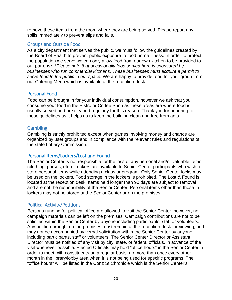remove these items from the room where they are being served. Please report any spills immediately to prevent slips and falls.

## Groups and Outside Food

As a city department that serves the public, we must follow the guidelines created by the Board of Health to prevent public exposure to food borne illness. In order to protect the population we serve we can only allow food from our own kitchen to be provided to our patrons\*. *\*Please note that occasionally food served here is sponsored by businesses who run commercial kitchens. These businesses must acquire a permit to serve food to the public in our space.* We are happy to provide food for your group from our Catering Menu which is available at the reception desk.

# Personal Food

Food can be brought in for your individual consumption, however we ask that you consume your food in the Bistro or Coffee Shop as these areas are where food is usually served and are cleaned regularly for this reason. Thank you for adhering to these guidelines as it helps us to keep the building clean and free from ants.

# **Gambling**

Gambling is strictly prohibited except when games involving money and chance are organized by user groups and in compliance with the relevant rules and regulations of the state Lottery Commission.

#### Personal Items/Lockers/Lost and Found

The Senior Center is not responsible for the loss of any personal and/or valuable items (clothing, purses, etc.). Lockers are available to Senior Center participants who wish to store personal items while attending a class or program. Only Senior Center locks may be used on the lockers. Food storage in the lockers is prohibited. The Lost & Found is located at the reception desk. Items held longer than 90 days are subject to removal and are not the responsibility of the Senior Center. Personal items other than those in lockers may not be stored at the Senior Center or on the premises.

# Political Activity/Petitions

Persons running for political office are allowed to visit the Senior Center, however, no campaign materials can be left on the premises. Campaign contributions are not to be solicited within the Senior Center by anyone including participants, staff or volunteers. Any petition brought on the premises must remain at the reception desk for viewing, and may not be accompanied by verbal solicitation within the Senior Center by anyone, including participants, staff or volunteers. The Senior Center Director or Assistant Director must be notified of any visit by city, state, or federal officials, in advance of the visit whenever possible. Elected Officials may hold "office hours" in the Senior Center in order to meet with constituents on a regular basis, no more than once every other month in the library/lobby area when it is not being used for specific programs. The "office hours" will be listed in the Conz St Chronicle which is the Senior Center's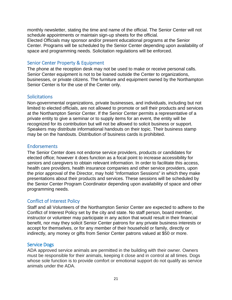monthly newsletter, stating the time and name of the official. The Senior Center will not schedule appointments or maintain sign-up sheets for the official.

Elected Officials may sponsor and/or present educational programs at the Senior Center. Programs will be scheduled by the Senior Center depending upon availability of space and programming needs. Solicitation regulations will be enforced.

## Senior Center Property & Equipment

The phone at the reception desk may not be used to make or receive personal calls. Senior Center equipment is not to be loaned outside the Center to organizations, businesses, or private citizens. The furniture and equipment owned by the Northampton Senior Center is for the use of the Center only.

#### Solicitations

Non-governmental organizations, private businesses, and individuals, including but not limited to elected officials, are not allowed to promote or sell their products and services at the Northampton Senior Center. If the Senior Center permits a representative of a private entity to give a seminar or to supply items for an event, the entity will be recognized for its contribution but will not be allowed to solicit business or support. Speakers may distribute informational handouts on their topic. Their business stamp may be on the handouts. Distribution of business cards is prohibited.

#### Endorsements

The Senior Center does not endorse service providers, products or candidates for elected office; however it does function as a focal point to increase accessibility for seniors and caregivers to obtain relevant information. In order to facilitate this access, health care providers, health insurance companies and other service providers, upon the prior approval of the Director, may hold "Information Sessions" in which they make presentations about their products and services. These sessions will be scheduled by the Senior Center Program Coordinator depending upon availability of space and other programming needs.

#### Conflict of Interest Policy

Staff and all Volunteers of the Northampton Senior Center are expected to adhere to the Conflict of Interest Policy set by the city and state. No staff person, board member, instructor or volunteer may participate in any action that would result in their financial benefit, nor may they solicit Senior Center patrons for any private business interests or accept for themselves, or for any member of their household or family, directly or indirectly, any money or gifts from Senior Center patrons valued at \$50 or more.

#### Service Dogs

ADA approved service animals are permitted in the building with their owner. Owners must be responsible for their animals, keeping it close and in control at all times. Dogs whose sole function is to provide comfort or emotional support do not qualify as service animals under the ADA.